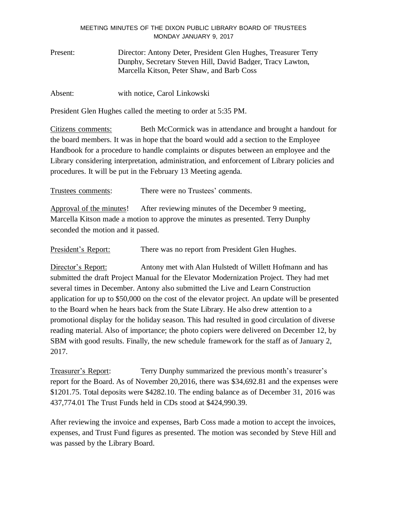### MEETING MINUTES OF THE DIXON PUBLIC LIBRARY BOARD OF TRUSTEES MONDAY JANUARY 9, 2017

Present: Director: Antony Deter, President Glen Hughes, Treasurer Terry Dunphy, Secretary Steven Hill, David Badger, Tracy Lawton, Marcella Kitson, Peter Shaw, and Barb Coss

Absent: with notice, Carol Linkowski

President Glen Hughes called the meeting to order at 5:35 PM.

Citizens comments: Beth McCormick was in attendance and brought a handout for the board members. It was in hope that the board would add a section to the Employee Handbook for a procedure to handle complaints or disputes between an employee and the Library considering interpretation, administration, and enforcement of Library policies and procedures. It will be put in the February 13 Meeting agenda.

Trustees comments: There were no Trustees' comments.

Approval of the minutes! After reviewing minutes of the December 9 meeting, Marcella Kitson made a motion to approve the minutes as presented. Terry Dunphy seconded the motion and it passed.

President's Report: There was no report from President Glen Hughes.

Director's Report: Antony met with Alan Hulstedt of Willett Hofmann and has submitted the draft Project Manual for the Elevator Modernization Project. They had met several times in December. Antony also submitted the Live and Learn Construction application for up to \$50,000 on the cost of the elevator project. An update will be presented to the Board when he hears back from the State Library. He also drew attention to a promotional display for the holiday season. This had resulted in good circulation of diverse reading material. Also of importance; the photo copiers were delivered on December 12, by SBM with good results. Finally, the new schedule framework for the staff as of January 2, 2017.

Treasurer's Report: Terry Dunphy summarized the previous month's treasurer's report for the Board. As of November 20,2016, there was \$34,692.81 and the expenses were \$1201.75. Total deposits were \$4282.10. The ending balance as of December 31, 2016 was 437,774.01 The Trust Funds held in CDs stood at \$424,990.39.

After reviewing the invoice and expenses, Barb Coss made a motion to accept the invoices, expenses, and Trust Fund figures as presented. The motion was seconded by Steve Hill and was passed by the Library Board.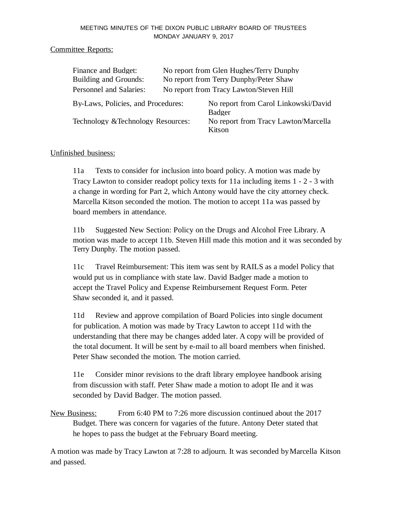### MEETING MINUTES OF THE DIXON PUBLIC LIBRARY BOARD OF TRUSTEES MONDAY JANUARY 9, 2017

### Committee Reports:

| Finance and Budget:                | No report from Glen Hughes/Terry Dunphy |                                                       |
|------------------------------------|-----------------------------------------|-------------------------------------------------------|
| <b>Building and Grounds:</b>       | No report from Terry Dunphy/Peter Shaw  |                                                       |
| Personnel and Salaries:            |                                         | No report from Tracy Lawton/Steven Hill               |
| By-Laws, Policies, and Procedures: |                                         | No report from Carol Linkowski/David<br><b>Badger</b> |
| Technology & Technology Resources: |                                         | No report from Tracy Lawton/Marcella<br>Kitson        |

# Unfinished business:

11a Texts to consider for inclusion into board policy. A motion was made by Tracy Lawton to consider readopt policy texts for 11a including items 1 - 2 - 3 with a change in wording for Part 2, which Antony would have the city attorney check. Marcella Kitson seconded the motion. The motion to accept 11a was passed by board members in attendance.

11b Suggested New Section: Policy on the Drugs and Alcohol Free Library. A motion was made to accept 11b. Steven Hill made this motion and it was seconded by Terry Dunphy. The motion passed.

11c Travel Reimbursement: This item was sent by RAILS as a model Policy that would put us in compliance with state law. David Badger made a motion to accept the Travel Policy and Expense Reimbursement Request Form. Peter Shaw seconded it, and it passed.

11d Review and approve compilation of Board Policies into single document for publication. A motion was made by Tracy Lawton to accept 11d with the understanding that there may be changes added later. A copy will be provided of the total document. It will be sent by e-mail to all board members when finished. Peter Shaw seconded the motion. The motion carried.

11e Consider minor revisions to the draft library employee handbook arising from discussion with staff. Peter Shaw made a motion to adopt IIe and it was seconded by David Badger. The motion passed.

New Business: From 6:40 PM to 7:26 more discussion continued about the 2017 Budget. There was concern for vagaries of the future. Antony Deter stated that he hopes to pass the budget at the February Board meeting.

A motion was made by Tracy Lawton at 7:28 to adjourn. It was seconded byMarcella Kitson and passed.